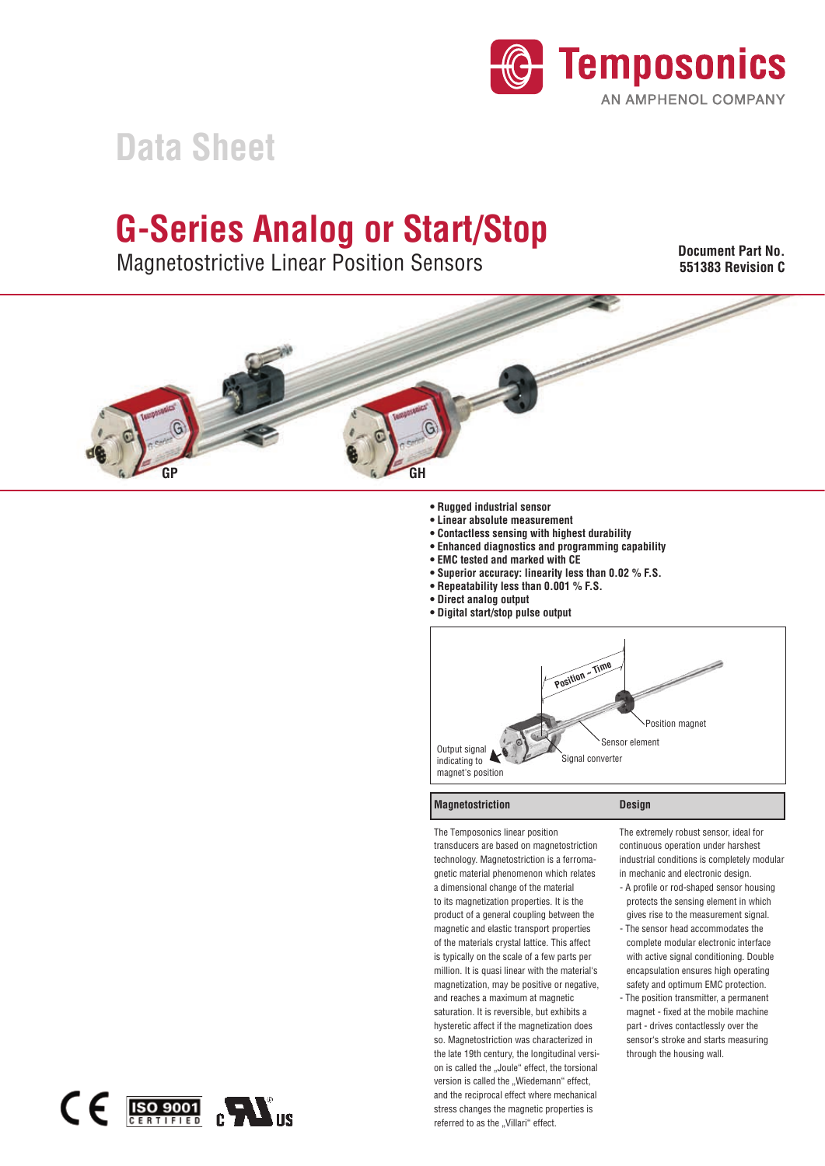

# **Data Sheet**

# **G-Series Analog or Start/Stop**

Magnetostrictive Linear Position Sensors depends on output

**Document Part No. 551383 Revision C**  JOCUMENI PATI NO.<br>--*-*----



- **Rugged industrial sensor**
- $\bullet$  Linear absolute measurement
- **Contactless sensing with highest durability**
- **Enhanced diagnostics and programming capability**
- **EMC tested and marked with CE**
- **Superior accuracy: linearity less than 0.02 % F.S.**
- **Repeatability less than 0.001 % F.S.**
- **Direct analog output**
- $\bullet$  Digital start/stop pulse output



#### **Magnetostriction**

Design

The Temposonics linear position transducers are based on magnetostriction technology. Magnetostriction is a ferromagnetic material phenomenon which relates a dimensional change of the material to its magnetization properties. It is the product of a general coupling between the magnetic and elastic transport properties of the materials crystal lattice. This affect is typically on the scale of a few parts per million. It is quasi linear with the material's magnetization, may be positive or negative, and reaches a maximum at magnetic saturation. It is reversible, but exhibits a hysteretic affect if the magnetization does so. Magnetostriction was characterized in the late 19th century, the longitudinal version is called the "Joule" effect, the torsional version is called the "Wiedemann" effect, and the reciprocal effect where mechanical stress changes the magnetic properties is referred to as the "Villari" effect.

The extremely robust sensor, ideal for continuous operation under harshest industrial conditions is completely modular in mechanic and electronic design.

- A profile or rod-shaped sensor housing protects the sensing element in which gives rise to the measurement signal.
- The sensor head accommodates the complete modular electronic interface with active signal conditioning. Double encapsulation ensures high operating safety and optimum EMC protection.
- The position transmitter, a permanent magnet - fixed at the mobile machine part - drives contactlessly over the sensor's stroke and starts measuring through the housing wall.

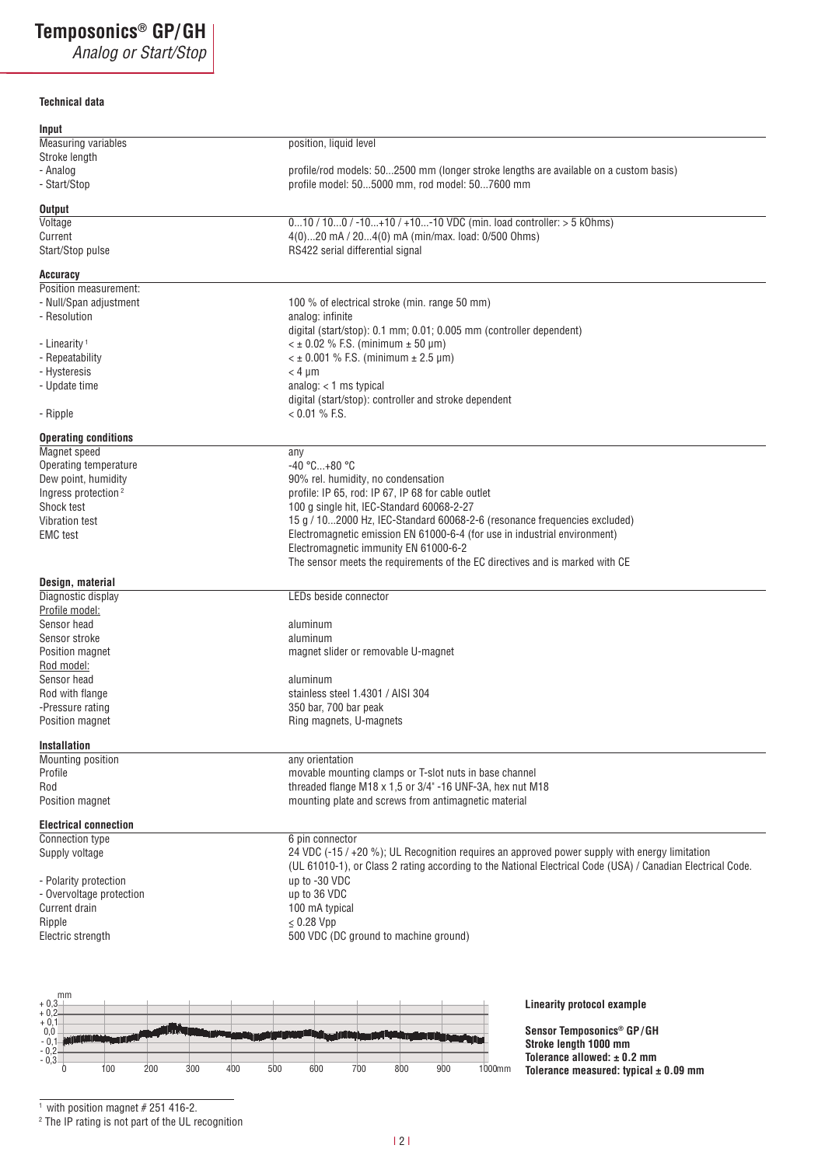# **Temposonics®(1()**

Analog or Start/Stop

### **Technical data**

| Input                                                  |                                                                                                             |
|--------------------------------------------------------|-------------------------------------------------------------------------------------------------------------|
| <b>Measuring variables</b>                             | position, liquid level                                                                                      |
| Stroke length                                          |                                                                                                             |
| - Analog                                               | profile/rod models: 502500 mm (longer stroke lengths are available on a custom basis)                       |
| - Start/Stop                                           | profile model: 505000 mm, rod model: 507600 mm                                                              |
|                                                        |                                                                                                             |
| Output                                                 |                                                                                                             |
| Voltage                                                | 010 / 100 / -10+10 / +10-10 VDC (min. load controller: > 5 kOhms)                                           |
| Current                                                | 4(0)20 mA / 204(0) mA (min/max. load: 0/500 Ohms)                                                           |
| Start/Stop pulse                                       | RS422 serial differential signal                                                                            |
|                                                        |                                                                                                             |
| Accuracy<br>Position measurement:                      |                                                                                                             |
|                                                        | 100 % of electrical stroke (min. range 50 mm)                                                               |
| - Null/Span adjustment<br>- Resolution                 | analog: infinite                                                                                            |
|                                                        | digital (start/stop): 0.1 mm; 0.01; 0.005 mm (controller dependent)                                         |
| - Linearity <sup>1</sup>                               | $\leq$ ± 0.02 % F.S. (minimum ± 50 µm)                                                                      |
| - Repeatability                                        | $\lt$ ± 0.001 % F.S. (minimum ± 2.5 µm)                                                                     |
| - Hysteresis                                           | $< 4 \mu m$                                                                                                 |
| - Update time                                          | analog: $<$ 1 ms typical                                                                                    |
|                                                        | digital (start/stop): controller and stroke dependent                                                       |
| - Ripple                                               | $< 0.01 \%$ F.S.                                                                                            |
|                                                        |                                                                                                             |
| <b>Operating conditions</b>                            |                                                                                                             |
| Magnet speed                                           | any                                                                                                         |
| Operating temperature                                  | -40 °C+80 °C                                                                                                |
| Dew point, humidity                                    | 90% rel. humidity, no condensation                                                                          |
| Ingress protection <sup>2</sup>                        | profile: IP 65, rod: IP 67, IP 68 for cable outlet                                                          |
| Shock test                                             | 100 g single hit, IEC-Standard 60068-2-27                                                                   |
| Vibration test                                         | 15 g / 102000 Hz, IEC-Standard 60068-2-6 (resonance frequencies excluded)                                   |
| <b>EMC</b> test                                        | Electromagnetic emission EN 61000-6-4 (for use in industrial environment)                                   |
|                                                        | Electromagnetic immunity EN 61000-6-2                                                                       |
|                                                        | The sensor meets the requirements of the EC directives and is marked with CE                                |
| Design, material                                       |                                                                                                             |
| Diagnostic display                                     | LEDs beside connector                                                                                       |
| Profile model:                                         |                                                                                                             |
| Sensor head                                            | aluminum                                                                                                    |
| Sensor stroke                                          | aluminum                                                                                                    |
| Position magnet                                        | magnet slider or removable U-magnet                                                                         |
| Rod model:                                             |                                                                                                             |
| Sensor head                                            | aluminum                                                                                                    |
| Rod with flange                                        | stainless steel 1.4301 / AISI 304                                                                           |
| -Pressure rating                                       | 350 bar, 700 bar peak                                                                                       |
| Position magnet                                        | Ring magnets, U-magnets                                                                                     |
|                                                        |                                                                                                             |
| Installation                                           |                                                                                                             |
| Mounting position                                      | any orientation                                                                                             |
| Profile                                                | movable mounting clamps or T-slot nuts in base channel                                                      |
| Rod                                                    | threaded flange M18 x 1,5 or 3/4" -16 UNF-3A, hex nut M18                                                   |
| Position magnet                                        | mounting plate and screws from antimagnetic material                                                        |
|                                                        |                                                                                                             |
| <b>Electrical connection</b>                           |                                                                                                             |
| Connection type                                        | 6 pin connector                                                                                             |
| Supply voltage                                         | 24 VDC (-15 / +20 %); UL Recognition requires an approved power supply with energy limitation               |
|                                                        | (UL 61010-1), or Class 2 rating according to the National Electrical Code (USA) / Canadian Electrical Code. |
| - Polarity protection                                  | up to -30 VDC                                                                                               |
| - Overvoltage protection                               | up to 36 VDC                                                                                                |
| Current drain                                          | 100 mA typical                                                                                              |
| Ripple                                                 | $\leq$ 0.28 Vpp                                                                                             |
| Electric strength                                      | 500 VDC (DC ground to machine ground)                                                                       |
|                                                        |                                                                                                             |
|                                                        |                                                                                                             |
|                                                        |                                                                                                             |
| mm                                                     |                                                                                                             |
| $+0,3$<br>$+0,2-$                                      | Linearity protocol example                                                                                  |
| $+0,1$<br>0,0                                          | Sensor Temposonics® GP/GH                                                                                   |
| $-0,1$                                                 | Stroke length 1000 mm                                                                                       |
| $-0,2$                                                 | Tolerance allowed: $\pm$ 0.2 mm                                                                             |
| $-0,3-$<br>$\theta$<br>200<br>300<br>400<br>500<br>100 | 700<br>600<br>800<br>900<br>1000mm<br>Tolerance measured: typical $\pm$ 0.09 mm                             |
|                                                        |                                                                                                             |
|                                                        |                                                                                                             |

<sup>1</sup> with position magnet # 251 416-2. 2 The IP rating is not part of the UL recognition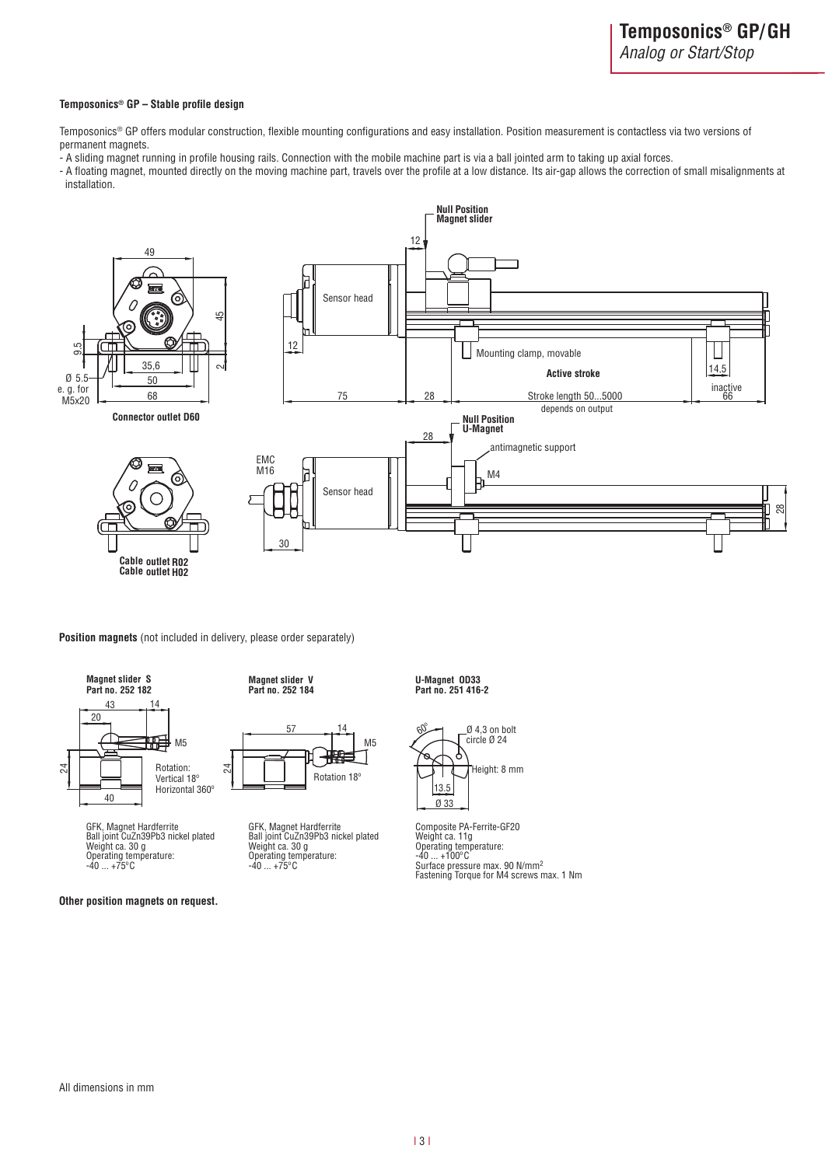#### **Temposonics®** GP - Stable profile design

Temposonics® GP offers modular construction, flexible mounting configurations and easy installation. Position measurement is contactless via two versions of permanent magnets.

- A sliding magnet running in profile housing rails. Connection with the mobile machine part is via a ball jointed arm to taking up axial forces.

- A floating magnet, mounted directly on the moving machine part, travels over the profile at a low distance. Its air-gap allows the correction of small misalignments at installation.



**Position magnets** (not included in delivery, please order separately)



GFK, Magnet Hardferrite Ball joint CuZn39Pb3 nickel plated Weight ca. 30 g Operating temperature: -40 ... +75ºC

**Other position magnets on request.** 

**Part no. 252 182 Part no. 252 184 Magnet slider V U-Magnet OD33**



GFK, Magnet Hardferrite Ball joint CuZn39Pb3 nickel plated Weight ca. 30 g Operating temperature: -40 ... +75ºC

# **Part no. 251 416-2**



Composite PA-Ferrite-GF20 Weight ca. 11g Operating temperature: -40 ... +100ºC Surface pressure max. 90 N/mm2 Fastening Torque for M4 screws max. 1 Nm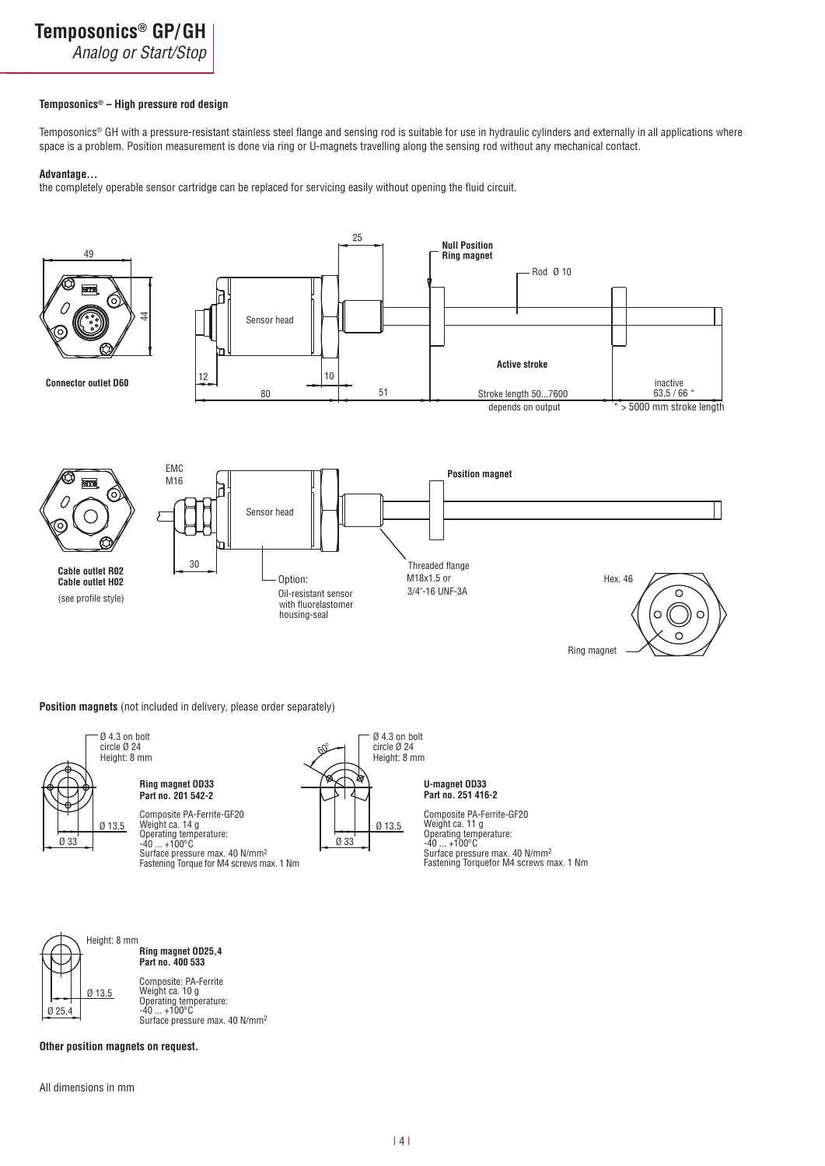Analog or Start/Stop

#### Temposonics® – High pressure rod design

Temposonics® GH with a pressure-resistant stainless steel flange and sensing rod is suitable for use in hydraulic cylinders and externally in all applications where space is a problem. Position measurement is done via ring or U-magnets travelling along the sensing rod without any mechanical contact.

#### Advantage...

the completely operable sensor cartridge can be replaced for servicing easily without opening the fluid circuit.



**Position magnets** (not included in delivery, please order separately)



**Ring magnet OD33 Part no. 201 542-2**

Composite PA-Ferrite-GF20 Weight ca. 14 g Operating temperature: -40 ... +100ºC

Surface pressure max. 40 N/mm2 Fastening Torque for M4 screws max. 1 Nm



**Part no. 251 416-2 U-magnet OD33**

Composite PA-Ferrite-GF20 Weight ca. 11 g Operating temperature: -40 ... +100ºC Surface pressure max. 40 N/mm2 Fastening Torquefor M4 screws max. 1 Nm



**Ring magnet OD25,4 Part no. 400 533**

Composite: PA-Ferrite Weight ca. 10 g Operating temperature:<br>-40 ... +100°C<br>Surface pressure max. 40 N/mm<sup>2</sup>

**Other position magnets on request.** 

All dimensions in mm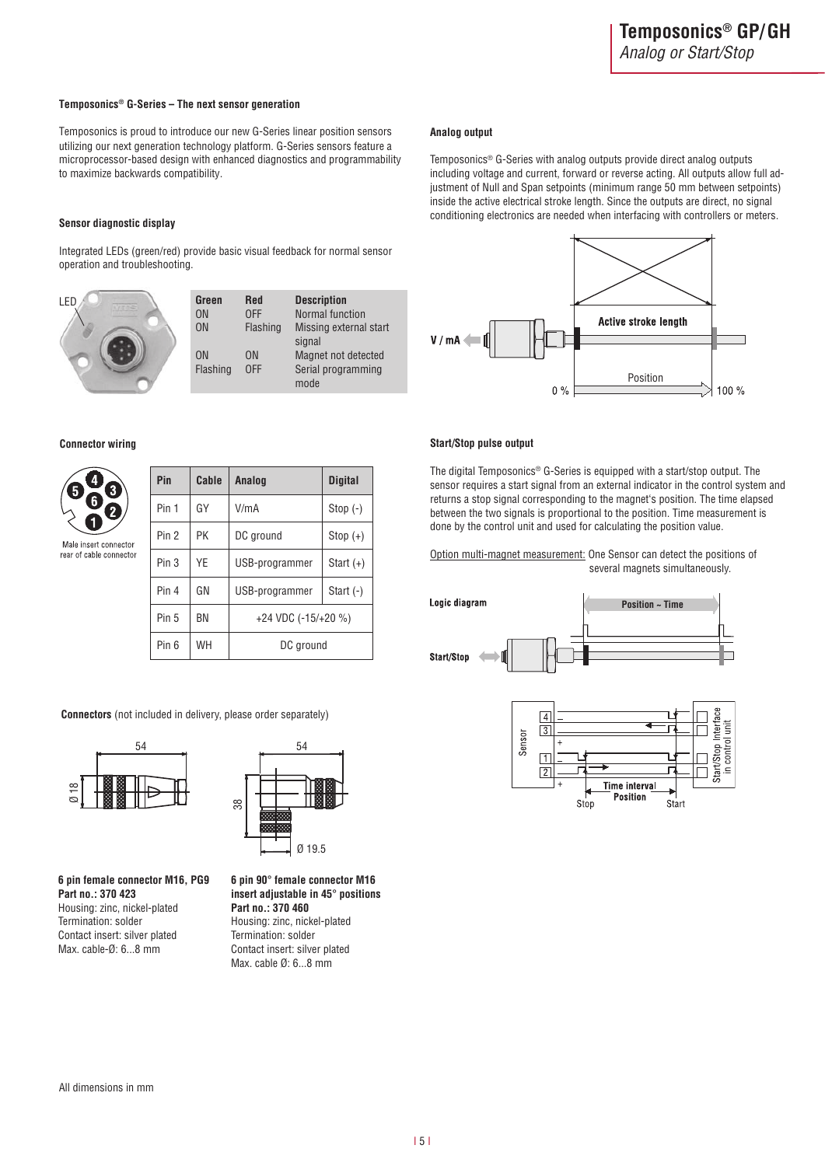#### **Temposonics® G-Series - The next sensor generation**

Temposonics is proud to introduce our new G-Series linear position sensors utilizing our next generation technology platform. G-Series sensors feature a microprocessor-based design with enhanced diagnostics and programmability to maximize backwards compatibility.

#### **Sensor diagnostic display**

Integrated LEDs (green/red) provide basic visual feedback for normal sensor operation and troubleshooting.

| I FD | Green<br>ON                | Red<br><b>OFF</b>     | <b>Description</b><br>Normal function             |
|------|----------------------------|-----------------------|---------------------------------------------------|
|      | <b>ON</b>                  | Flashing              | Missing external start<br>signal                  |
|      | 0 <sub>N</sub><br>Flashing | 0 <sub>N</sub><br>0FF | Magnet not detected<br>Serial programming<br>mode |

#### **Connector wiring**

Male in: rear of c

| $\overline{\mathbf{4}}$<br>$\boxed{3}$<br>$\overline{\mathbf{6}}$<br>$\left[ 2\right]$ | Pin              | Cable | Analog                | <b>Digital</b> |
|----------------------------------------------------------------------------------------|------------------|-------|-----------------------|----------------|
|                                                                                        | Pin 1            | GY    | V/mA                  | Stop $(-)$     |
| 1<br>ert connector                                                                     | Pin 2            | PK    | DC ground             | $Stop (+)$     |
| able connector                                                                         | Pin <sub>3</sub> | YE    | USB-programmer        | Start $(+)$    |
|                                                                                        | Pin 4            | GN    | USB-programmer        | Start $(-)$    |
|                                                                                        | Pin 5            | ΒN    | $+24$ VDC (-15/+20 %) |                |
|                                                                                        | Pin <sub>6</sub> | WH    | DC ground             |                |

**Connectors** (not included in delivery, please order separately)





6 pin female connector M16, PG9 **Part no.: 370 423** Housing: zinc, nickel-plated Termination: solder Contact insert: silver plated Max. cable-Ø: 6...8 mm

## **Analog output**

Temposonics® G-Series with analog outputs provide direct analog outputs including voltage and current, forward or reverse acting. All outputs allow full adjustment of Null and Span setpoints (minimum range 50 mm between setpoints) inside the active electrical stroke length. Since the outputs are direct, no signal conditioning electronics are needed when interfacing with controllers or meters.



#### *Start/Stop pulse output*

The digital Temposonics® G-Series is equipped with a start/stop output. The sensor requires a start signal from an external indicator in the control system and returns a stop signal corresponding to the magnet's position. The time elapsed between the two signals is proportional to the position. Time measurement is done by the control unit and used for calculating the position value.

#### Option multi-magnet measurement: One Sensor can detect the positions of several magnets simultaneously.





**6 pin 90° female connector M16 Insert adjustable in 45° positions** Part no.: 370 460 Housing: zinc, nickel-plated Termination: solder Contact insert: silver plated Max. cable Ø: 6...8 mm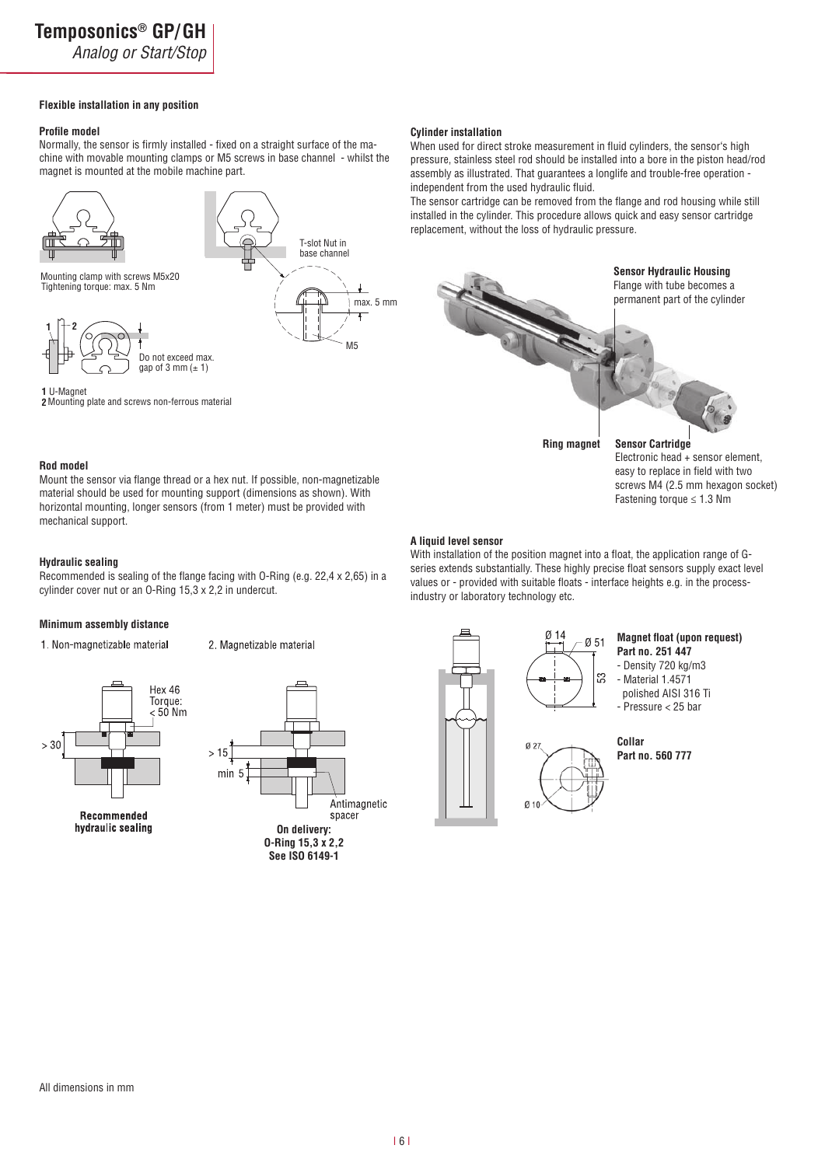Analog or Start/Stop

**2**Mounting plate and screws non-ferrous material

#### **Flexible installation in any position**

#### **Profile model**

Normally, the sensor is firmly installed - fixed on a straight surface of the machine with movable mounting clamps or M5 screws in base channel - whilst the magnet is mounted at the mobile machine part.



**Cylinder installation** 

When used for direct stroke measurement in fluid cylinders, the sensor's high pressure, stainless steel rod should be installed into a bore in the piston head/rod assembly as illustrated. That guarantees a longlife and trouble-free operation independent from the used hydraulic fluid.

The sensor cartridge can be removed from the flange and rod housing while still installed in the cylinder. This procedure allows quick and easy sensor cartridge replacement, without the loss of hydraulic pressure.



#### **Rod** model

Mount the sensor via flange thread or a hex nut. If possible, non-magnetizable material should be used for mounting support (dimensions as shown). With horizontal mounting, longer sensors (from 1 meter) must be provided with mechanical support.

#### **Hydraulic sealing**

Recommended is sealing of the flange facing with O-Ring (e.g. 22,4 x 2,65) in a cylinder cover nut or an O-Ring 15,3 x 2,2 in undercut.

#### **Minimum assembly distance**

1. Non-magnetizable material

2. Magnetizable material



Recommended hydraulic sealing



**A liquid level sensor** 

With installation of the position magnet into a float, the application range of Gseries extends substantially. These highly precise float sensors supply exact level values or - provided with suitable floats - interface heights e.g. in the processindustry or laboratory technology etc.



**Magnet float (upon request)** Part no. 251 447 - Density 720 kg/m3

screws M4 (2.5 mm hexagon socket) Fastening torque ≤ 1.3 Nm

- Material 1.4571 polished AISI 316 Ti - Pressure < 25 bar



**Part no. 560 777**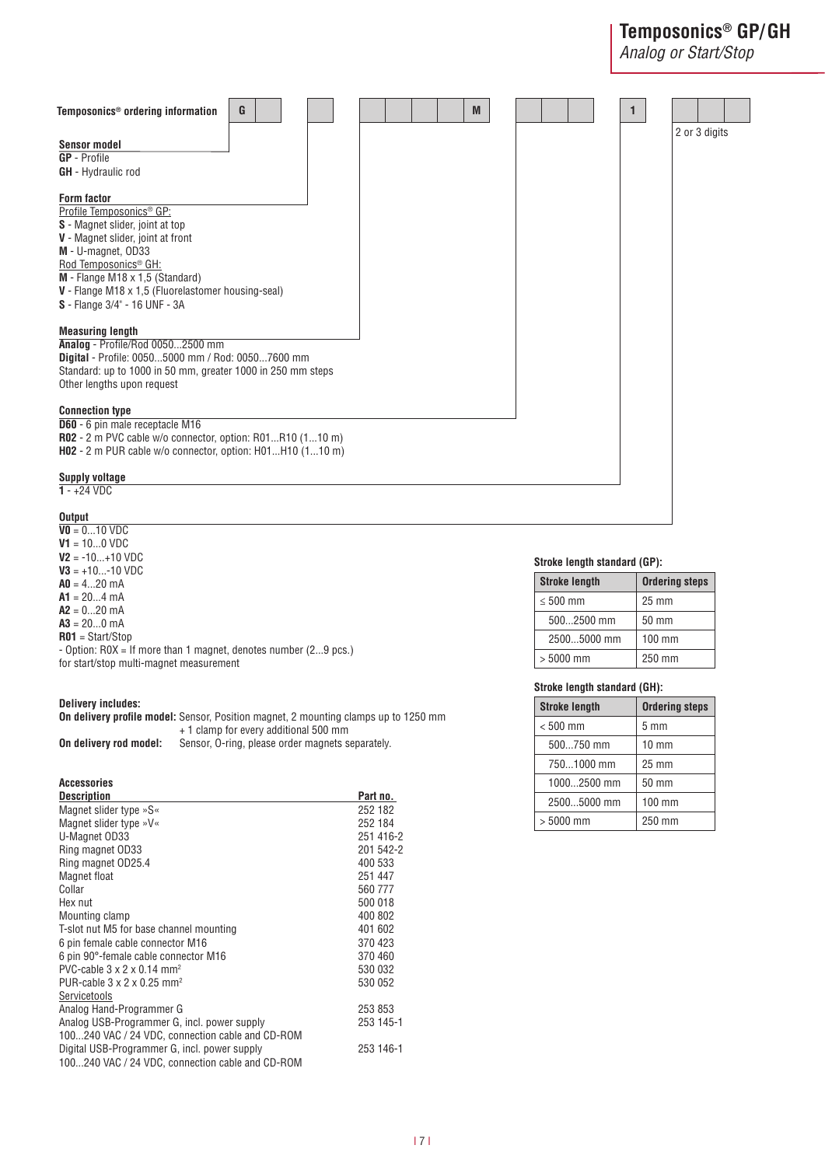# **Temposonics<sup>®</sup> GP/GH**

Analog or Start/Stop



 $\overline{\text{V0}} = 0...10 \text{ VDC}$ **7**= 10...0 VDC **7**= -10...+10 VDC  $V3 = +10...-10$  VDC  $AD = 4...20$  mA  $A1 = 20...4$  mA  $A2 = 0...20$  mA  $A3 = 20...0$  mA **3**= Start/Stop - Option: R0X = If more than 1 magnet, denotes number (2...9 pcs.)

for start/stop multi-magnet measurement

#### **Delivery includes:**

**On delivery profile model:** Sensor, Position magnet, 2 mounting clamps up to 1250 mm + 1 clamp for every additional 500 mm **On delivery rod model:** Sensor, O-ring, please order magnets separately.

### Accessories

| <b>Description</b>                                 | Part no.  |
|----------------------------------------------------|-----------|
| Magnet slider type »S«                             | 252 182   |
| Magnet slider type »V«                             | 252 184   |
| U-Magnet OD33                                      | 251 416-2 |
| Ring magnet OD33                                   | 201 542-2 |
| Ring magnet OD25.4                                 | 400 533   |
| Magnet float                                       | 251 447   |
| Collar                                             | 560777    |
| Hex nut                                            | 500 018   |
| Mounting clamp                                     | 400 802   |
| T-slot nut M5 for base channel mounting            | 401 602   |
| 6 pin female cable connector M16                   | 370 423   |
| 6 pin 90°-female cable connector M16               | 370 460   |
| PVC-cable $3 \times 2 \times 0.14$ mm <sup>2</sup> | 530 032   |
| PUR-cable $3 \times 2 \times 0.25$ mm <sup>2</sup> | 530 052   |
| Servicetools                                       |           |
| Analog Hand-Programmer G                           | 253 853   |
| Analog USB-Programmer G, incl. power supply        | 253 145-1 |
| 100240 VAC / 24 VDC, connection cable and CD-ROM   |           |
| Digital USB-Programmer G, incl. power supply       | 253 146-1 |
| 100240 VAC / 24 VDC, connection cable and CD-ROM   |           |

#### Stroke length standard (GP):

| <b>Stroke length</b> | <b>Ordering steps</b> |
|----------------------|-----------------------|
| $\leq 500$ mm        | $25 \text{ mm}$       |
| 5002500 mm           | 50 mm                 |
| 25005000 mm          | $100 \text{ mm}$      |
| $> 5000$ mm          | 250 mm                |

#### Stroke length standard (GH):

| <b>Stroke length</b> | <b>Ordering steps</b> |
|----------------------|-----------------------|
| $< 500$ mm           | 5 <sub>mm</sub>       |
| 500750 mm            | $10 \text{ mm}$       |
| 7501000 mm           | 25 mm                 |
| 10002500 mm          | 50 mm                 |
| 25005000 mm          | 100 mm                |
| $> 5000$ mm          | 250 mm                |